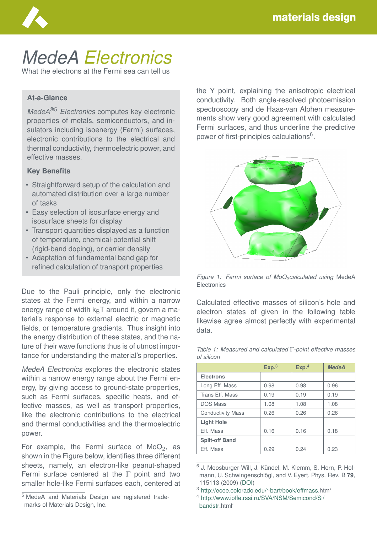

# *MedeA Electronics*

What the electrons at the Fermi sea can tell us

#### **At-a-Glance**

*MedeA*®5 *Electronics* computes key electronic properties of metals, semiconductors, and insulators including isoenergy (Fermi) surfaces, electronic contributions to the electrical and thermal conductivity, thermoelectric power, and effective masses.

#### **Key Benefits**

- Straightforward setup of the calculation and automated distribution over a large number of tasks
- Easy selection of isosurface energy and isosurface sheets for display
- Transport quantities displayed as a function of temperature, chemical-potential shift (rigid-band doping), or carrier density
- Adaptation of fundamental band gap for refined calculation of transport properties

Due to the Pauli principle, only the electronic states at the Fermi energy, and within a narrow energy range of width  $k_BT$  around it, govern a material's response to external electric or magnetic fields, or temperature gradients. Thus insight into the energy distribution of these states, and the nature of their wave functions thus is of utmost importance for understanding the material's properties.

*MedeA Electronics* explores the electronic states within a narrow energy range about the Fermi energy, by giving access to ground-state properties, such as Fermi surfaces, specific heats, and effective masses, as well as transport properties, like the electronic contributions to the electrical and thermal conductivities and the thermoelectric power.

For example, the Fermi surface of  $MoO<sub>2</sub>$ , as shown in the Figure below, identifies three different sheets, namely, an electron-like peanut-shaped Fermi surface centered at the Γ point and two smaller hole-like Fermi surfaces each, centered at

<sup>5</sup> MedeA and Materials Design are registered trademarks of Materials Design, Inc.

the Y point, explaining the anisotropic electrical conductivity. Both angle-resolved photoemission spectroscopy and de Haas-van Alphen measurements show very good agreement with calculated Fermi surfaces, and thus underline the predictive power of first-principles calculations<sup>6</sup>.



*Figure 1: Fermi surface of MoO2calculated using* MedeA **Electronics** 

Calculated effective masses of silicon's hole and electron states of given in the following table likewise agree almost perfectly with experimental data.

|                          | Exp. <sup>3</sup> | Exp <sup>4</sup> | <b>MedeA</b> |
|--------------------------|-------------------|------------------|--------------|
| <b>Electrons</b>         |                   |                  |              |
| Long Eff. Mass           | 0.98              | 0.98             | 0.96         |
| Trans Eff. Mass          | 0.19              | 0.19             | 0.19         |
| <b>DOS Mass</b>          | 1.08              | 1.08             | 1.08         |
| <b>Conductivity Mass</b> | 0.26              | 0.26             | 0.26         |
| <b>Light Hole</b>        |                   |                  |              |
| Eff. Mass                | 0.16              | 0.16             | 0.18         |
| <b>Split-off Band</b>    |                   |                  |              |
| Eff. Mass                | 0.29              | 0.24             | 0.23         |

*Table 1: Measured and calculated* Γ*-point effective masses of silicon*

<sup>&</sup>lt;sup>6</sup> J. Moosburger-Will, J. Kündel, M. Klemm, S. Horn, P. Hofmann, U. Schwingenschlögl, and V. Eyert, Phys. Rev. B 79, 115113 (2009) [\(DOI\)](https://doi.org/10.1103/PhysRevB.79.115113)

<sup>3</sup> [http://ecee.colorado.edu/](http://ecee.colorado.edu/~bart/book/effmass)∼bart/book/effmass.htm'

<sup>4</sup> [http://www.ioffe.rssi.ru/SVA/NSM/Semicond/Si/](http://www.ioffe.rssi.ru/SVA/NSM/Semicond/Si/bandstr) [bandstr.](http://www.ioffe.rssi.ru/SVA/NSM/Semicond/Si/bandstr)html'